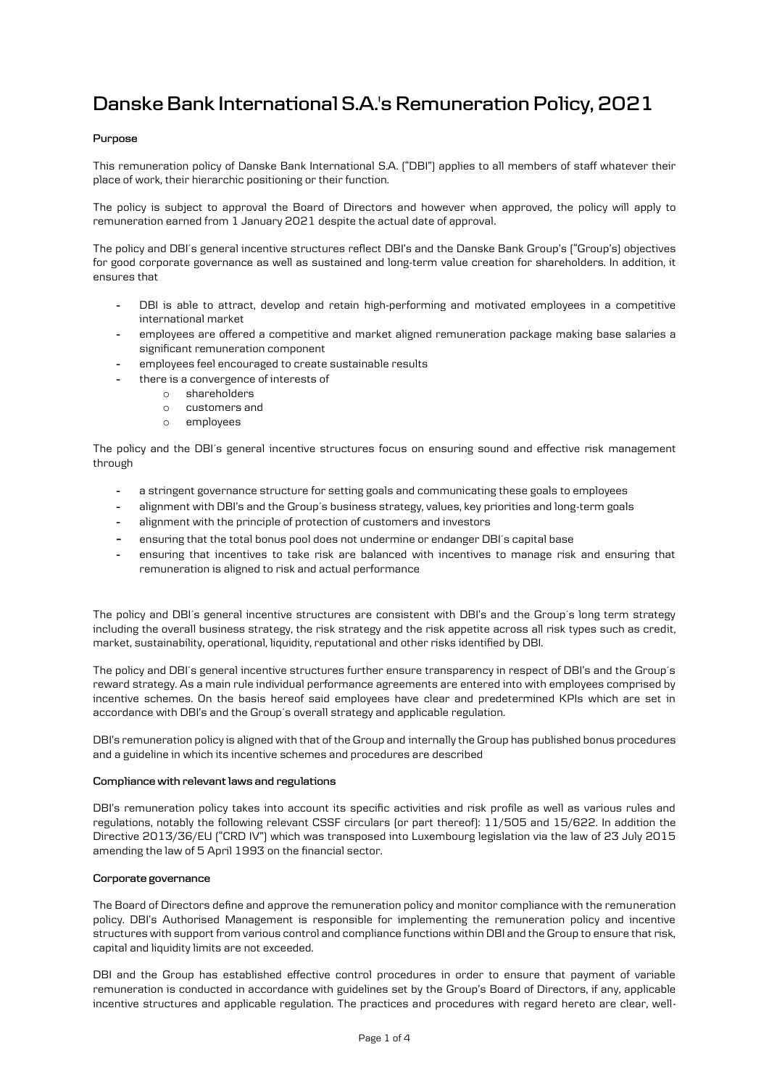# **Danske Bank International S.A.'s Remuneration Policy, 2021**

# **Purpose**

This remuneration policy of Danske Bank International S.A. ("DBI") applies to all members of staff whatever their place of work, their hierarchic positioning or their function.

The policy is subject to approval the Board of Directors and however when approved, the policy will apply to remuneration earned from 1 January 2021 despite the actual date of approval.

The policy and DBI´s general incentive structures reflect DBI's and the Danske Bank Group's ("Group's) objectives for good corporate governance as well as sustained and long-term value creation for shareholders. In addition, it ensures that

- DBI is able to attract, develop and retain high-performing and motivated employees in a competitive international market
- employees are offered a competitive and market aligned remuneration package making base salaries a significant remuneration component
- employees feel encouraged to create sustainable results
	- there is a convergence of interests of
		- o shareholders
		- o customers and
		- o employees

The policy and the DBI´s general incentive structures focus on ensuring sound and effective risk management through

- a stringent governance structure for setting goals and communicating these goals to employees
- alignment with DBI's and the Group's business strategy, values, key priorities and long-term goals
- alignment with the principle of protection of customers and investors
- ensuring that the total bonus pool does not undermine or endanger DBI´s capital base
- ensuring that incentives to take risk are balanced with incentives to manage risk and ensuring that remuneration is aligned to risk and actual performance

The policy and DBI´s general incentive structures are consistent with DBI's and the Group´s long term strategy including the overall business strategy, the risk strategy and the risk appetite across all risk types such as credit, market, sustainability, operational, liquidity, reputational and other risks identified by DBI.

The policy and DBI´s general incentive structures further ensure transparency in respect of DBI's and the Group´s reward strategy. As a main rule individual performance agreements are entered into with employees comprised by incentive schemes. On the basis hereof said employees have clear and predetermined KPIs which are set in accordance with DBI's and the Group´s overall strategy and applicable regulation.

DBI's remuneration policy is aligned with that of the Group and internally the Group has published bonus procedures and a guideline in which its incentive schemes and procedures are described

## **Compliance with relevant laws and regulations**

DBI's remuneration policy takes into account its specific activities and risk profile as well as various rules and regulations, notably the following relevant CSSF circulars (or part thereof): 11/505 and 15/622. In addition the Directive 2013/36/EU ("CRD IV") which was transposed into Luxembourg legislation via the law of 23 July 2015 amending the law of 5 April 1993 on the financial sector.

## **Corporate governance**

The Board of Directors define and approve the remuneration policy and monitor compliance with the remuneration policy. DBI's Authorised Management is responsible for implementing the remuneration policy and incentive structures with support from various control and compliance functions within DBI and the Group to ensure that risk, capital and liquidity limits are not exceeded.

DBI and the Group has established effective control procedures in order to ensure that payment of variable remuneration is conducted in accordance with guidelines set by the Group's Board of Directors, if any, applicable incentive structures and applicable regulation. The practices and procedures with regard hereto are clear, well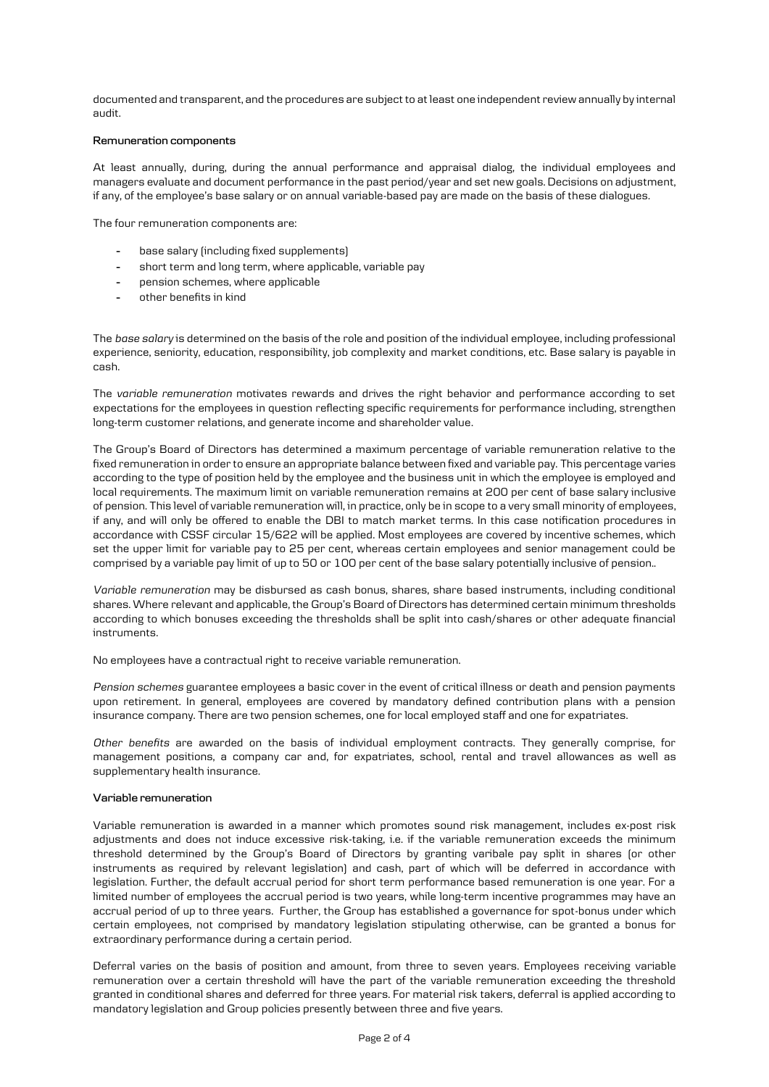documented and transparent, and the procedures are subject to at least one independent review annually by internal audit.

#### **Remuneration components**

At least annually, during, during the annual performance and appraisal dialog, the individual employees and managers evaluate and document performance in the past period/year and set new goals. Decisions on adjustment, if any, of the employee's base salary or on annual variable-based pay are made on the basis of these dialogues.

The four remuneration components are:

- base salary (including fixed supplements)
- short term and long term, where applicable, variable pay
- pension schemes, where applicable
- other benefits in kind

The *base salary* is determined on the basis of the role and position of the individual employee, including professional experience, seniority, education, responsibility, job complexity and market conditions, etc. Base salary is payable in cash.

The *variable remuneration* motivates rewards and drives the right behavior and performance according to set expectations for the employees in question reflecting specific requirements for performance including, strengthen long-term customer relations, and generate income and shareholder value.

The Group's Board of Directors has determined a maximum percentage of variable remuneration relative to the fixed remuneration in order to ensure an appropriate balance between fixed and variable pay. This percentage varies according to the type of position held by the employee and the business unit in which the employee is employed and local requirements. The maximum limit on variable remuneration remains at 200 per cent of base salary inclusive of pension. This level of variable remuneration will, in practice, only be in scope to a very small minority of employees, if any, and will only be offered to enable the DBI to match market terms. In this case notification procedures in accordance with CSSF circular 15/622 will be applied. Most employees are covered by incentive schemes, which set the upper limit for variable pay to 25 per cent, whereas certain employees and senior management could be comprised by a variable pay limit of up to 50 or 100 per cent of the base salary potentially inclusive of pension..

*Variable remuneration* may be disbursed as cash bonus, shares, share based instruments, including conditional shares. Where relevant and applicable, the Group's Board of Directors has determined certain minimum thresholds according to which bonuses exceeding the thresholds shall be split into cash/shares or other adequate financial instruments.

No employees have a contractual right to receive variable remuneration.

*Pension schemes* guarantee employees a basic cover in the event of critical illness or death and pension payments upon retirement. In general, employees are covered by mandatory defined contribution plans with a pension insurance company. There are two pension schemes, one for local employed staff and one for expatriates.

*Other benefits* are awarded on the basis of individual employment contracts. They generally comprise, for management positions, a company car and, for expatriates, school, rental and travel allowances as well as supplementary health insurance.

#### **Variable remuneration**

Variable remuneration is awarded in a manner which promotes sound risk management, includes ex-post risk adjustments and does not induce excessive risk-taking, i.e. if the variable remuneration exceeds the minimum threshold determined by the Group's Board of Directors by granting varibale pay split in shares (or other instruments as required by relevant legislation) and cash, part of which will be deferred in accordance with legislation. Further, the default accrual period for short term performance based remuneration is one year. For a limited number of employees the accrual period is two years, while long-term incentive programmes may have an accrual period of up to three years. Further, the Group has established a governance for spot-bonus under which certain employees, not comprised by mandatory legislation stipulating otherwise, can be granted a bonus for extraordinary performance during a certain period.

Deferral varies on the basis of position and amount, from three to seven years. Employees receiving variable remuneration over a certain threshold will have the part of the variable remuneration exceeding the threshold granted in conditional shares and deferred for three years. For material risk takers, deferral is applied according to mandatory legislation and Group policies presently between three and five years.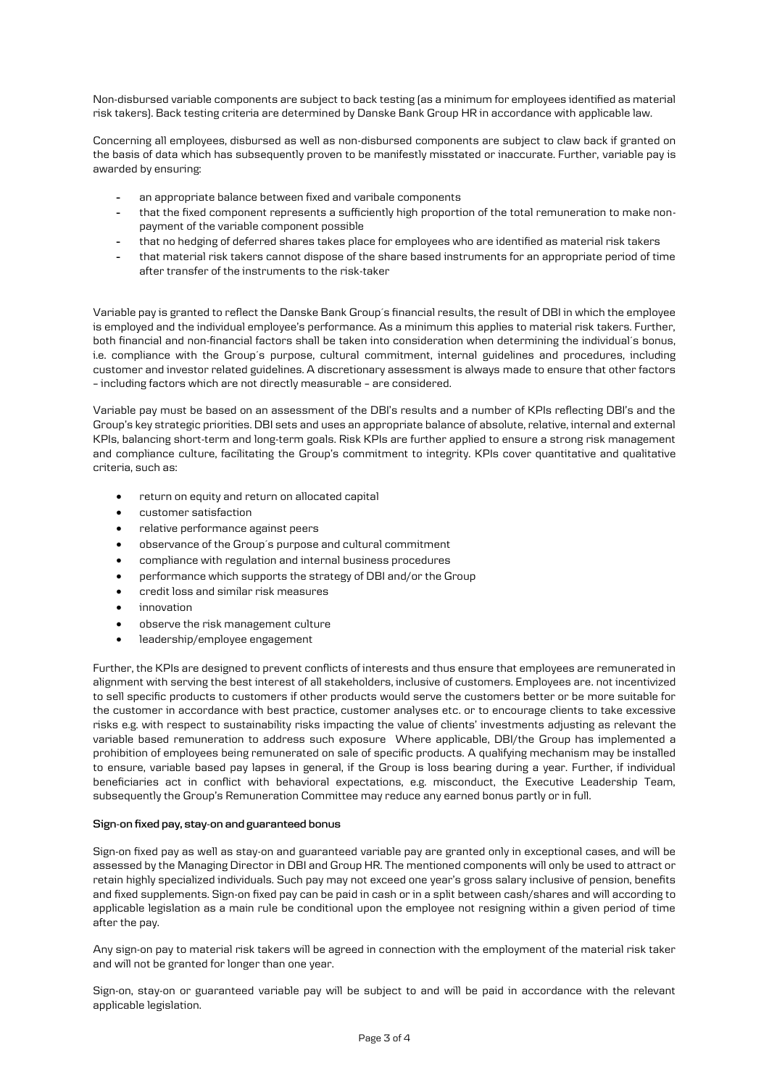Non-disbursed variable components are subject to back testing (as a minimum for employees identified as material risk takers). Back testing criteria are determined by Danske Bank Group HR in accordance with applicable law.

Concerning all employees, disbursed as well as non-disbursed components are subject to claw back if granted on the basis of data which has subsequently proven to be manifestly misstated or inaccurate. Further, variable pay is awarded by ensuring:

- an appropriate balance between fixed and varibale components
- that the fixed component represents a sufficiently high proportion of the total remuneration to make nonpayment of the variable component possible
- that no hedging of deferred shares takes place for employees who are identified as material risk takers
- that material risk takers cannot dispose of the share based instruments for an appropriate period of time after transfer of the instruments to the risk-taker

Variable pay is granted to reflect the Danske Bank Group´s financial results, the result of DBI in which the employee is employed and the individual employee's performance. As a minimum this applies to material risk takers. Further, both financial and non-financial factors shall be taken into consideration when determining the individual´s bonus, i.e. compliance with the Group´s purpose, cultural commitment, internal guidelines and procedures, including customer and investor related guidelines. A discretionary assessment is always made to ensure that other factors – including factors which are not directly measurable – are considered.

Variable pay must be based on an assessment of the DBI's results and a number of KPIs reflecting DBI's and the Group's key strategic priorities. DBI sets and uses an appropriate balance of absolute, relative, internal and external KPIs, balancing short-term and long-term goals. Risk KPIs are further applied to ensure a strong risk management and compliance culture, facilitating the Group's commitment to integrity. KPIs cover quantitative and qualitative criteria, such as:

- return on equity and return on allocated capital
- customer satisfaction
- relative performance against peers
- observance of the Group´s purpose and cultural commitment
- compliance with regulation and internal business procedures
- performance which supports the strategy of DBI and/or the Group
- credit loss and similar risk measures
- innovation
- observe the risk management culture
- leadership/employee engagement

Further, the KPIs are designed to prevent conflicts of interests and thus ensure that employees are remunerated in alignment with serving the best interest of all stakeholders, inclusive of customers. Employees are. not incentivized to sell specific products to customers if other products would serve the customers better or be more suitable for the customer in accordance with best practice, customer analyses etc. or to encourage clients to take excessive risks e.g. with respect to sustainability risks impacting the value of clients' investments adjusting as relevant the variable based remuneration to address such exposure Where applicable, DBI/the Group has implemented a prohibition of employees being remunerated on sale of specific products. A qualifying mechanism may be installed to ensure, variable based pay lapses in general, if the Group is loss bearing during a year. Further, if individual beneficiaries act in conflict with behavioral expectations, e.g. misconduct, the Executive Leadership Team, subsequently the Group's Remuneration Committee may reduce any earned bonus partly or in full.

## **Sign-on fixed pay, stay-on and guaranteed bonus**

Sign-on fixed pay as well as stay-on and guaranteed variable pay are granted only in exceptional cases, and will be assessed by the Managing Director in DBI and Group HR. The mentioned components will only be used to attract or retain highly specialized individuals. Such pay may not exceed one year's gross salary inclusive of pension, benefits and fixed supplements. Sign-on fixed pay can be paid in cash or in a split between cash/shares and will according to applicable legislation as a main rule be conditional upon the employee not resigning within a given period of time after the pay.

Any sign-on pay to material risk takers will be agreed in connection with the employment of the material risk taker and will not be granted for longer than one year.

Sign-on, stay-on or guaranteed variable pay will be subject to and will be paid in accordance with the relevant applicable legislation.